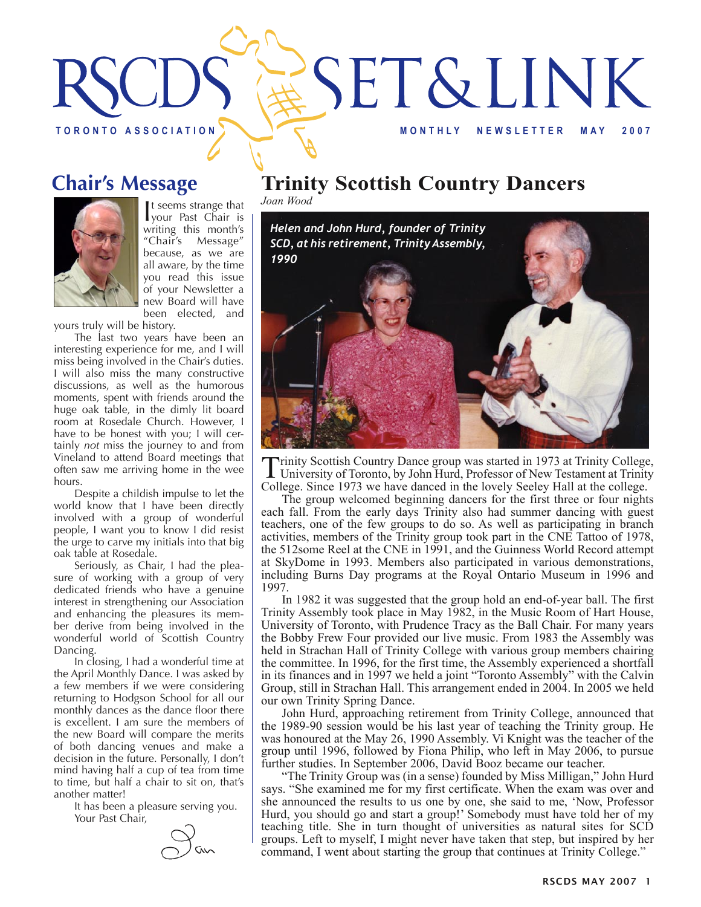



It seems strange that<br>your Past Chair is t seems strange that writing this month's "Chair's Message" because, as we are all aware, by the time you read this issue of your Newsletter a new Board will have been elected, and

yours truly will be history.

The last two years have been an interesting experience for me, and I will miss being involved in the Chair's duties. I will also miss the many constructive discussions, as well as the humorous moments, spent with friends around the huge oak table, in the dimly lit board room at Rosedale Church. However, I have to be honest with you; I will certainly *not* miss the journey to and from Vineland to attend Board meetings that often saw me arriving home in the wee hours.

Despite a childish impulse to let the world know that I have been directly involved with a group of wonderful people, I want you to know I did resist the urge to carve my initials into that big oak table at Rosedale.

Seriously, as Chair, I had the pleasure of working with a group of very dedicated friends who have a genuine interest in strengthening our Association and enhancing the pleasures its member derive from being involved in the wonderful world of Scottish Country Dancing.

In closing, I had a wonderful time at the April Monthly Dance. I was asked by a few members if we were considering returning to Hodgson School for all our monthly dances as the dance floor there is excellent. I am sure the members of the new Board will compare the merits of both dancing venues and make a decision in the future. Personally, I don't mind having half a cup of tea from time to time, but half a chair to sit on, that's another matter!

It has been a pleasure serving you. Your Past Chair,



### **Chair's Message Trinity Scottish Country Dancers**

*Joan Wood*



Trinity Scottish Country Dance group was started in 1973 at Trinity College, University of Toronto, by John Hurd, Professor of New Testament at Trinity College. Since 1973 we have danced in the lovely Seeley Hall at the college.

The group welcomed beginning dancers for the first three or four nights each fall. From the early days Trinity also had summer dancing with guest teachers, one of the few groups to do so. As well as participating in branch activities, members of the Trinity group took part in the CNE Tattoo of 1978, the 512some Reel at the CNE in 1991, and the Guinness World Record attempt at SkyDome in 1993. Members also participated in various demonstrations, including Burns Day programs at the Royal Ontario Museum in 1996 and 1997.

In 1982 it was suggested that the group hold an end-of-year ball. The first Trinity Assembly took place in May 1982, in the Music Room of Hart House, University of Toronto, with Prudence Tracy as the Ball Chair. For many years the Bobby Frew Four provided our live music. From 1983 the Assembly was held in Strachan Hall of Trinity College with various group members chairing the committee. In 1996, for the first time, the Assembly experienced a shortfall in its finances and in 1997 we held a joint "Toronto Assembly" with the Calvin Group, still in Strachan Hall. This arrangement ended in 2004. In 2005 we held our own Trinity Spring Dance.

John Hurd, approaching retirement from Trinity College, announced that the 1989-90 session would be his last year of teaching the Trinity group. He was honoured at the May 26, 1990 Assembly. Vi Knight was the teacher of the group until 1996, followed by Fiona Philip, who left in May 2006, to pursue further studies. In September 2006, David Booz became our teacher.

"The Trinity Group was (in a sense) founded by Miss Milligan," John Hurd says. "She examined me for my first certificate. When the exam was over and she announced the results to us one by one, she said to me, 'Now, Professor Hurd, you should go and start a group!' Somebody must have told her of my teaching title. She in turn thought of universities as natural sites for SCD groups. Left to myself, I might never have taken that step, but inspired by her command, I went about starting the group that continues at Trinity College."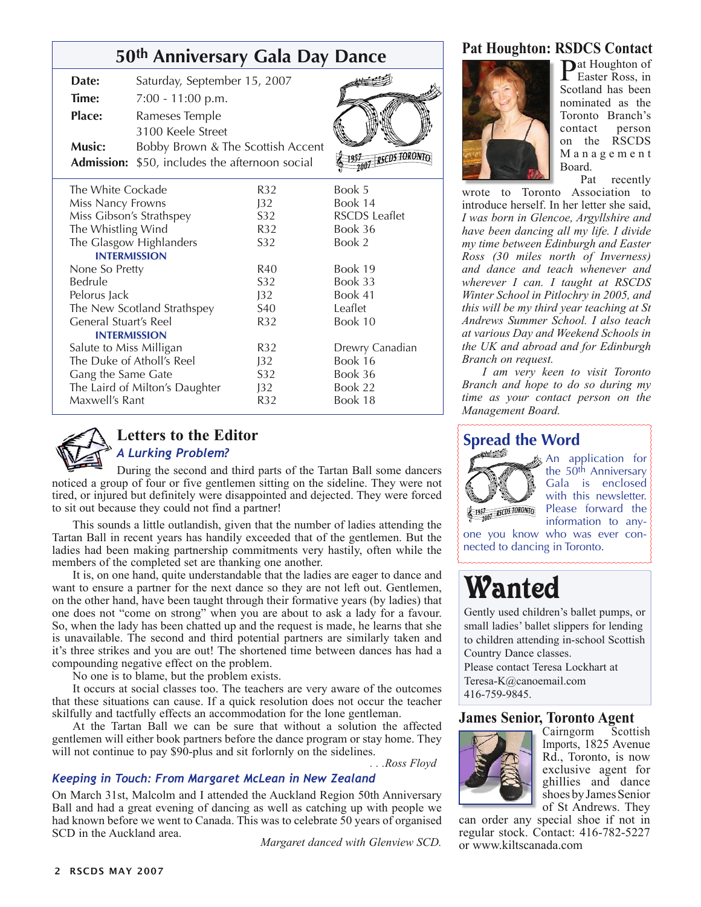#### **50th Anniversary Gala Day Dance**

| Date:                          | Saturday, September 15, 2007                          |                 |                      |
|--------------------------------|-------------------------------------------------------|-----------------|----------------------|
| Time:                          | 7:00 - 11:00 p.m.                                     |                 |                      |
| <b>Place:</b>                  | Rameses Temple                                        |                 |                      |
|                                | 3100 Keele Street                                     |                 |                      |
| Music:                         | Bobby Brown & The Scottish Accent                     |                 |                      |
|                                | <b>Admission:</b> \$50, includes the afternoon social |                 | <b>IRSEDS TORO</b>   |
| The White Cockade              |                                                       | R32             | Book 5               |
| Miss Nancy Frowns              |                                                       | J32             | Book 14              |
| Miss Gibson's Strathspey       |                                                       | S <sub>32</sub> | <b>RSCDS</b> Leaflet |
| The Whistling Wind             |                                                       | R32             | Book 36              |
| The Glasgow Highlanders        |                                                       | S32             | Book 2               |
| <b>INTERMISSION</b>            |                                                       |                 |                      |
| None So Pretty                 |                                                       | R40             | Book 19              |
| Bedrule                        |                                                       | S32             | Book 33              |
| Pelorus Jack                   |                                                       | J32             | Book 41              |
| The New Scotland Strathspey    |                                                       | <b>S40</b>      | Leaflet              |
| General Stuart's Reel          |                                                       | R32             | Book 10              |
| <b>INTERMISSION</b>            |                                                       |                 |                      |
| Salute to Miss Milligan        |                                                       | R32             | Drewry Canadian      |
| The Duke of Atholl's Reel      |                                                       | J32             | Book 16              |
| Gang the Same Gate             |                                                       | S32             | Book 36              |
| The Laird of Milton's Daughter |                                                       | J32             | Book 22              |
| Maxwell's Rant                 |                                                       | R32             | Book 18              |



### **Letters to the Editor**

*A Lurking Problem?*  During the second and third parts of the Tartan Ball some dancers noticed a group of four or five gentlemen sitting on the sideline. They were not tired, or injured but definitely were disappointed and dejected. They were forced

to sit out because they could not find a partner!

This sounds a little outlandish, given that the number of ladies attending the Tartan Ball in recent years has handily exceeded that of the gentlemen. But the ladies had been making partnership commitments very hastily, often while the members of the completed set are thanking one another.

It is, on one hand, quite understandable that the ladies are eager to dance and want to ensure a partner for the next dance so they are not left out. Gentlemen, on the other hand, have been taught through their formative years (by ladies) that one does not "come on strong" when you are about to ask a lady for a favour. So, when the lady has been chatted up and the request is made, he learns that she is unavailable. The second and third potential partners are similarly taken and it's three strikes and you are out! The shortened time between dances has had a compounding negative effect on the problem.

No one is to blame, but the problem exists.

It occurs at social classes too. The teachers are very aware of the outcomes that these situations can cause. If a quick resolution does not occur the teacher skilfully and tactfully effects an accommodation for the lone gentleman.

At the Tartan Ball we can be sure that without a solution the affected gentlemen will either book partners before the dance program or stay home. They will not continue to pay \$90-plus and sit forlornly on the sidelines.

*. . .Ross Floyd*

#### *Keeping in Touch: From Margaret McLean in New Zealand*

On March 31st, Malcolm and I attended the Auckland Region 50th Anniversary Ball and had a great evening of dancing as well as catching up with people we had known before we went to Canada. This was to celebrate 50 years of organised SCD in the Auckland area.

*Margaret danced with Glenview SCD.* 

#### **Pat Houghton: RSDCS Contact**



Pat Houghton of Easter Ross, in Scotland has been nominated as the Toronto Branch's contact person on the RSCDS M a n a g e m e n t Board.

Pat recently wrote to Toronto Association to introduce herself. In her letter she said, *I was born in Glencoe, Argyllshire and have been dancing all my life. I divide my time between Edinburgh and Easter Ross (30 miles north of Inverness) and dance and teach whenever and wherever I can. I taught at RSCDS Winter School in Pitlochry in 2005, and this will be my third year teaching at St Andrews Summer School. I also teach at various Day and Weekend Schools in the UK and abroad and for Edinburgh Branch on request.* 

*I am very keen to visit Toronto Branch and hope to do so during my time as your contact person on the Management Board.*

#### **Spread the Word**



**An application for** the 50<sup>th</sup> Anniversary Gala is enclosed with this newsletter. Please forward the information to any-

one you know who was ever connected to dancing in Toronto.

# Wanted

Gently used children's ballet pumps, or small ladies' ballet slippers for lending to children attending in-school Scottish Country Dance classes.

Please contact Teresa Lockhart at Teresa-K@canoemail.com

416-759-9845.

## **James Senior, Toronto Agent**<br>Cairngorm Scottish



Cairngorm Imports, 1825 Avenue Rd., Toronto, is now exclusive agent for ghillies and dance shoes by James Senior of St Andrews. They

can order any special shoe if not in regular stock. Contact: 416-782-5227 or www.kiltscanada.com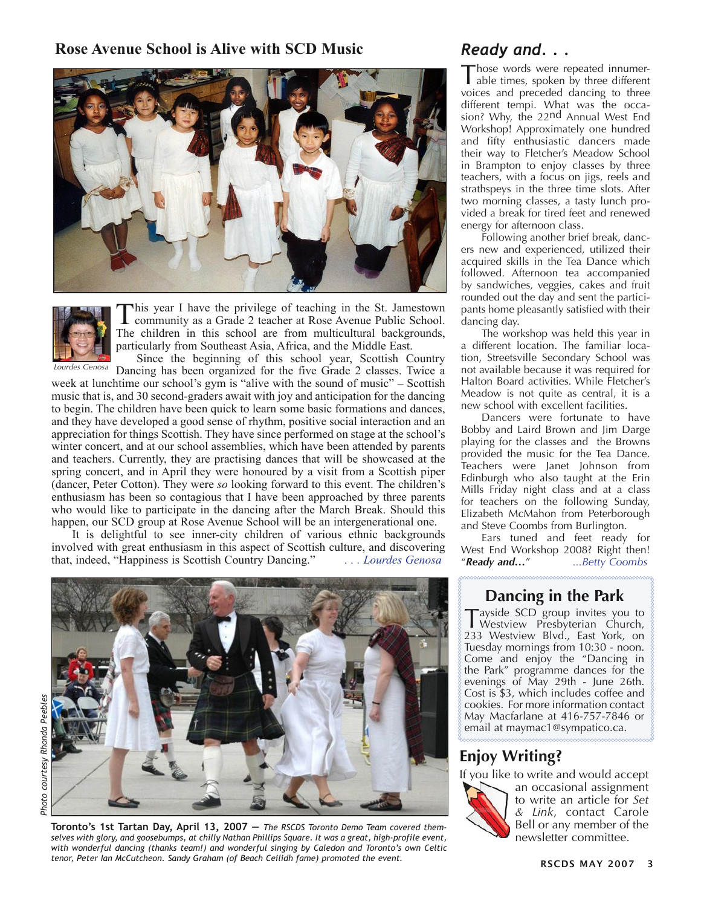#### Rose Avenue School is Alive with SCD Music *Ready and...*





This year I have the privilege of teaching in the St. Jamestown community as a Grade 2 teacher at Rose Avenue Public School. The children in this school are from multicultural backgrounds, particularly from Southeast Asia, Africa, and the Middle East.

Since the beginning of this school year, Scottish Country Dancing has been organized for the five Grade 2 classes. Twice a week at lunchtime our school's gym is "alive with the sound of music" – Scottish music that is, and 30 second-graders await with joy and anticipation for the dancing to begin. The children have been quick to learn some basic formations and dances, and they have developed a good sense of rhythm, positive social interaction and an appreciation for things Scottish. They have since performed on stage at the school's winter concert, and at our school assemblies, which have been attended by parents and teachers. Currently, they are practising dances that will be showcased at the spring concert, and in April they were honoured by a visit from a Scottish piper (dancer, Peter Cotton). They were *so* looking forward to this event. The children's enthusiasm has been so contagious that I have been approached by three parents who would like to participate in the dancing after the March Break. Should this happen, our SCD group at Rose Avenue School will be an intergenerational one. *Lourdes Genosa*

It is delightful to see inner-city children of various ethnic backgrounds involved with great enthusiasm in this aspect of Scottish culture, and discovering that indeed. "Happiness is Scottish Country Dancing." that, indeed, "Happiness is Scottish Country Dancing."

Those words were repeated innumer-able times, spoken by three different voices and preceded dancing to three different tempi. What was the occasion? Why, the 22nd Annual West End Workshop! Approximately one hundred and fifty enthusiastic dancers made their way to Fletcher's Meadow School in Brampton to enjoy classes by three teachers, with a focus on jigs, reels and strathspeys in the three time slots. After two morning classes, a tasty lunch provided a break for tired feet and renewed energy for afternoon class.

Following another brief break, dancers new and experienced, utilized their acquired skills in the Tea Dance which followed. Afternoon tea accompanied by sandwiches, veggies, cakes and fruit rounded out the day and sent the participants home pleasantly satisfied with their dancing day.

The workshop was held this year in a different location. The familiar location, Streetsville Secondary School was not available because it was required for Halton Board activities. While Fletcher's Meadow is not quite as central, it is a new school with excellent facilities.

Dancers were fortunate to have Bobby and Laird Brown and Jim Darge playing for the classes and the Browns provided the music for the Tea Dance. Teachers were Janet Johnson from Edinburgh who also taught at the Erin Mills Friday night class and at a class for teachers on the following Sunday, Elizabeth McMahon from Peterborough and Steve Coombs from Burlington.

Ears tuned and feet ready for West End Workshop 2008? Right then!<br>"Ready and..." ...Betty Coombs "*Ready and…*" *...Betty Coombs*



*Photo courtesy Rhonda Peebles*Photo courtesy Rhonda Peeble:

Toronto's 1st Tartan Day, April 13, 2007 – The RSCDS Toronto Demo Team covered them-<br>selves with glory, and goosebumps, at chilly Nathan Phillips Square. It was a great, high-profile event, *with wonderful dancing (thanks team!) and wonderful singing by Caledon and Toronto's own Celtic tenor, Peter Ian McCutcheon. Sandy Graham (of Beach Ceilidh fame) promoted the event.* 

#### **Dancing in the Park**

Tayside SCD group invites you to Westview Presbyterian Church, 233 Westview Blvd., East York, on Tuesday mornings from 10:30 - noon. Come and enjoy the "Dancing in the Park" programme dances for the evenings of May 29th - June 26th. Cost is \$3, which includes coffee and cookies. For more information contact May Macfarlane at 416-757-7846 or email at maymac1@sympatico.ca.

#### **Enjoy Writing?**

If you like to write and would accept



an occasional assignment to write an article for *Set & Link*, contact Carole Bell or any member of the<br>newsletter committee.